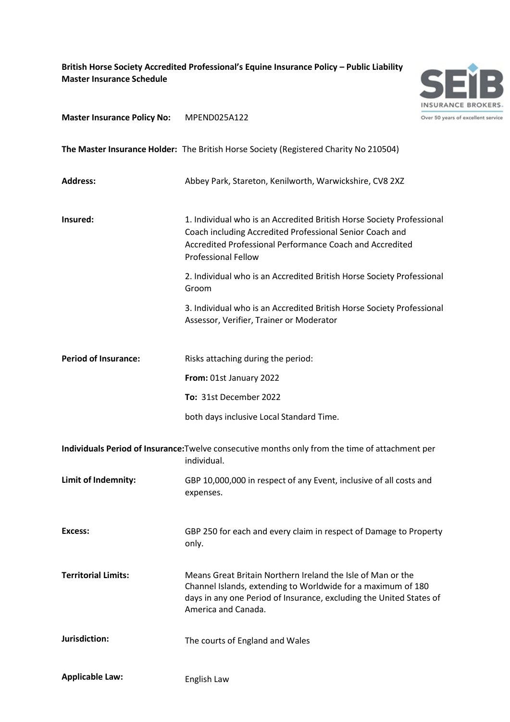**British Horse Society Accredited Professional's Equine Insurance Policy – Public Liability Master Insurance Schedule**



**Master Insurance Policy No:** MPEND025A122

**The Master Insurance Holder:** The British Horse Society (Registered Charity No 210504)

| <b>Address:</b>                                                                                                | Abbey Park, Stareton, Kenilworth, Warwickshire, CV8 2XZ                                                                                                                                                                     |
|----------------------------------------------------------------------------------------------------------------|-----------------------------------------------------------------------------------------------------------------------------------------------------------------------------------------------------------------------------|
| Insured:                                                                                                       | 1. Individual who is an Accredited British Horse Society Professional<br>Coach including Accredited Professional Senior Coach and<br>Accredited Professional Performance Coach and Accredited<br><b>Professional Fellow</b> |
|                                                                                                                | 2. Individual who is an Accredited British Horse Society Professional<br>Groom                                                                                                                                              |
|                                                                                                                | 3. Individual who is an Accredited British Horse Society Professional<br>Assessor, Verifier, Trainer or Moderator                                                                                                           |
| <b>Period of Insurance:</b>                                                                                    | Risks attaching during the period:                                                                                                                                                                                          |
|                                                                                                                | From: 01st January 2022                                                                                                                                                                                                     |
|                                                                                                                | To: 31st December 2022                                                                                                                                                                                                      |
|                                                                                                                | both days inclusive Local Standard Time.                                                                                                                                                                                    |
| Individuals Period of Insurance: Twelve consecutive months only from the time of attachment per<br>individual. |                                                                                                                                                                                                                             |
| Limit of Indemnity:                                                                                            | GBP 10,000,000 in respect of any Event, inclusive of all costs and<br>expenses.                                                                                                                                             |
| Excess:                                                                                                        | GBP 250 for each and every claim in respect of Damage to Property<br>only.                                                                                                                                                  |
| <b>Territorial Limits:</b>                                                                                     | Means Great Britain Northern Ireland the Isle of Man or the<br>Channel Islands, extending to Worldwide for a maximum of 180<br>days in any one Period of Insurance, excluding the United States of<br>America and Canada.   |
| Jurisdiction:                                                                                                  | The courts of England and Wales                                                                                                                                                                                             |
| <b>Applicable Law:</b>                                                                                         | English Law                                                                                                                                                                                                                 |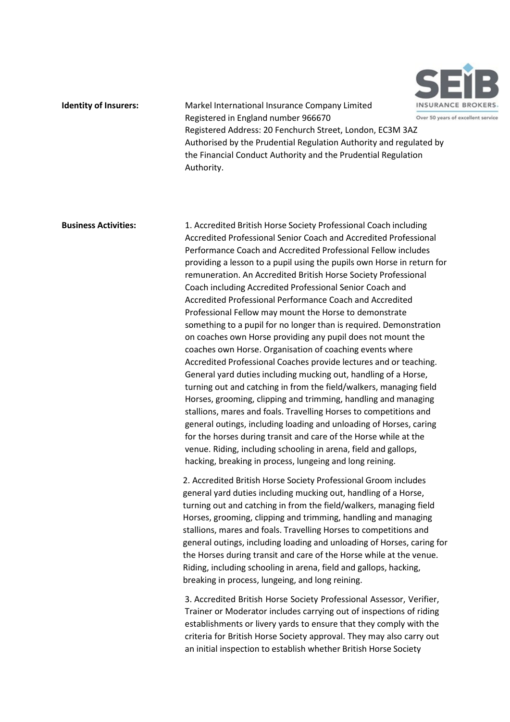

**Identity of Insurers:** Markel International Insurance Company Limited Registered in England number 966670 Over 50 years of excellent service Registered Address: 20 Fenchurch Street, London, EC3M 3AZ Authorised by the Prudential Regulation Authority and regulated by the Financial Conduct Authority and the Prudential Regulation Authority.

**Business Activities:** 1. Accredited British Horse Society Professional Coach including Accredited Professional Senior Coach and Accredited Professional Performance Coach and Accredited Professional Fellow includes providing a lesson to a pupil using the pupils own Horse in return for remuneration. An Accredited British Horse Society Professional Coach including Accredited Professional Senior Coach and Accredited Professional Performance Coach and Accredited Professional Fellow may mount the Horse to demonstrate something to a pupil for no longer than is required. Demonstration on coaches own Horse providing any pupil does not mount the coaches own Horse. Organisation of coaching events where Accredited Professional Coaches provide lectures and or teaching. General yard duties including mucking out, handling of a Horse, turning out and catching in from the field/walkers, managing field Horses, grooming, clipping and trimming, handling and managing stallions, mares and foals. Travelling Horses to competitions and general outings, including loading and unloading of Horses, caring for the horses during transit and care of the Horse while at the venue. Riding, including schooling in arena, field and gallops, hacking, breaking in process, lungeing and long reining.

> 2. Accredited British Horse Society Professional Groom includes general yard duties including mucking out, handling of a Horse, turning out and catching in from the field/walkers, managing field Horses, grooming, clipping and trimming, handling and managing stallions, mares and foals. Travelling Horses to competitions and general outings, including loading and unloading of Horses, caring for the Horses during transit and care of the Horse while at the venue. Riding, including schooling in arena, field and gallops, hacking, breaking in process, lungeing, and long reining.

3. Accredited British Horse Society Professional Assessor, Verifier, Trainer or Moderator includes carrying out of inspections of riding establishments or livery yards to ensure that they comply with the criteria for British Horse Society approval. They may also carry out an initial inspection to establish whether British Horse Society